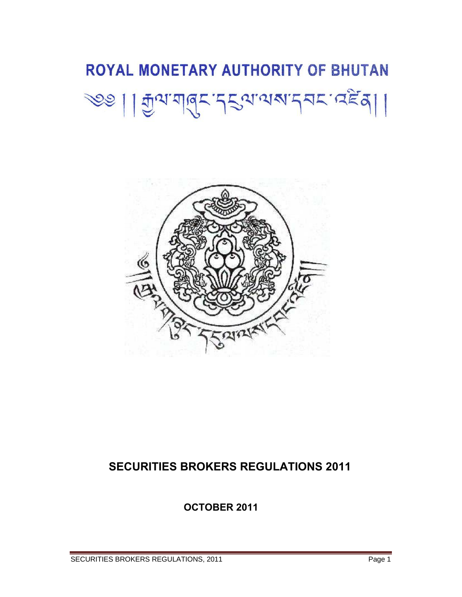# ROYAL MONETARY AUTHORITY OF BHUTAN 200 | | Jual de 2201002272.059 |



# **SECURITIES BROKERS REGULATIONS 2011**

 **OCTOBER 2011**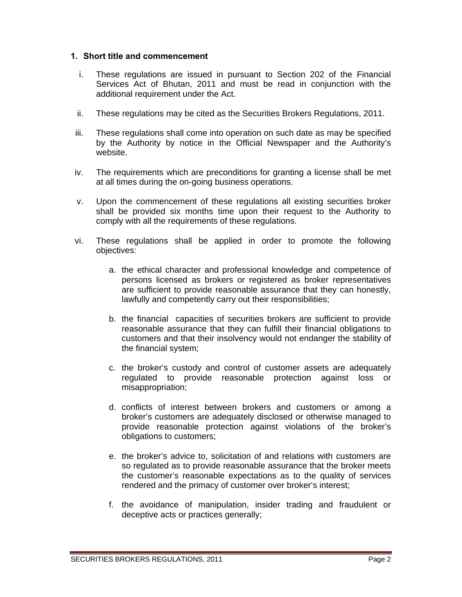#### **1. Short title and commencement**

- i. These regulations are issued in pursuant to Section 202 of the Financial Services Act of Bhutan, 2011 and must be read in conjunction with the additional requirement under the Act.
- ii. These regulations may be cited as the Securities Brokers Regulations, 2011.
- iii. These regulations shall come into operation on such date as may be specified by the Authority by notice in the Official Newspaper and the Authority's website.
- iv. The requirements which are preconditions for granting a license shall be met at all times during the on-going business operations.
- v. Upon the commencement of these regulations all existing securities broker shall be provided six months time upon their request to the Authority to comply with all the requirements of these regulations.
- vi. These regulations shall be applied in order to promote the following objectives:
	- a. the ethical character and professional knowledge and competence of persons licensed as brokers or registered as broker representatives are sufficient to provide reasonable assurance that they can honestly, lawfully and competently carry out their responsibilities;
	- b. the financial capacities of securities brokers are sufficient to provide reasonable assurance that they can fulfill their financial obligations to customers and that their insolvency would not endanger the stability of the financial system;
	- c. the broker's custody and control of customer assets are adequately regulated to provide reasonable protection against loss or misappropriation;
	- d. conflicts of interest between brokers and customers or among a broker's customers are adequately disclosed or otherwise managed to provide reasonable protection against violations of the broker's obligations to customers;
	- e. the broker's advice to, solicitation of and relations with customers are so regulated as to provide reasonable assurance that the broker meets the customer's reasonable expectations as to the quality of services rendered and the primacy of customer over broker's interest;
	- f. the avoidance of manipulation, insider trading and fraudulent or deceptive acts or practices generally;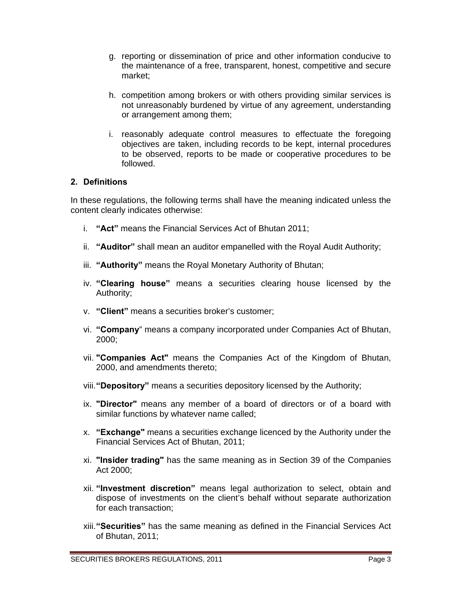- g. reporting or dissemination of price and other information conducive to the maintenance of a free, transparent, honest, competitive and secure market;
- h. competition among brokers or with others providing similar services is not unreasonably burdened by virtue of any agreement, understanding or arrangement among them;
- i. reasonably adequate control measures to effectuate the foregoing objectives are taken, including records to be kept, internal procedures to be observed, reports to be made or cooperative procedures to be followed.

## **2. Definitions**

In these regulations, the following terms shall have the meaning indicated unless the content clearly indicates otherwise:

- i. **"Act"** means the Financial Services Act of Bhutan 2011;
- ii. **"Auditor"** shall mean an auditor empanelled with the Royal Audit Authority;
- iii. **"Authority"** means the Royal Monetary Authority of Bhutan;
- iv. **"Clearing house"** means a securities clearing house licensed by the Authority;
- v. **"Client"** means a securities broker's customer;
- vi. **"Company**" means a company incorporated under Companies Act of Bhutan, 2000;
- vii. **"Companies Act"** means the Companies Act of the Kingdom of Bhutan, 2000, and amendments thereto;
- viii. **"Depository"** means a securities depository licensed by the Authority;
- ix. **"Director"** means any member of a board of directors or of a board with similar functions by whatever name called;
- x. **"Exchange"** means a securities exchange licenced by the Authority under the Financial Services Act of Bhutan, 2011;
- xi. **"Insider trading"** has the same meaning as in Section 39 of the Companies Act 2000;
- xii. **"Investment discretion"** means legal authorization to select, obtain and dispose of investments on the client's behalf without separate authorization for each transaction;
- xiii. **"Securities"** has the same meaning as defined in the Financial Services Act of Bhutan, 2011;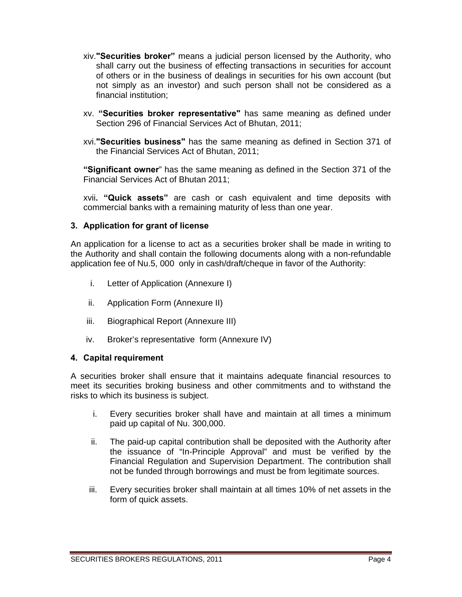- xiv.**"Securities broker"** means a judicial person licensed by the Authority, who shall carry out the business of effecting transactions in securities for account of others or in the business of dealings in securities for his own account (but not simply as an investor) and such person shall not be considered as a financial institution;
- xv. **"Securities broker representative"** has same meaning as defined under Section 296 of Financial Services Act of Bhutan, 2011;
- xvi.**"Securities business"** has the same meaning as defined in Section 371 of the Financial Services Act of Bhutan, 2011;

**"Significant owner**" has the same meaning as defined in the Section 371 of the Financial Services Act of Bhutan 2011;

xvii**. "Quick assets"** are cash or cash equivalent and time deposits with commercial banks with a remaining maturity of less than one year.

#### **3. Application for grant of license**

An application for a license to act as a securities broker shall be made in writing to the Authority and shall contain the following documents along with a non-refundable application fee of Nu.5, 000 only in cash/draft/cheque in favor of the Authority:

- i. Letter of Application (Annexure I)
- ii. Application Form (Annexure II)
- iii. Biographical Report (Annexure III)
- iv. Broker's representative form (Annexure IV)

#### **4. Capital requirement**

A securities broker shall ensure that it maintains adequate financial resources to meet its securities broking business and other commitments and to withstand the risks to which its business is subject.

- i. Every securities broker shall have and maintain at all times a minimum paid up capital of Nu. 300,000.
- ii. The paid-up capital contribution shall be deposited with the Authority after the issuance of "In-Principle Approval" and must be verified by the Financial Regulation and Supervision Department. The contribution shall not be funded through borrowings and must be from legitimate sources.
- iii. Every securities broker shall maintain at all times 10% of net assets in the form of quick assets.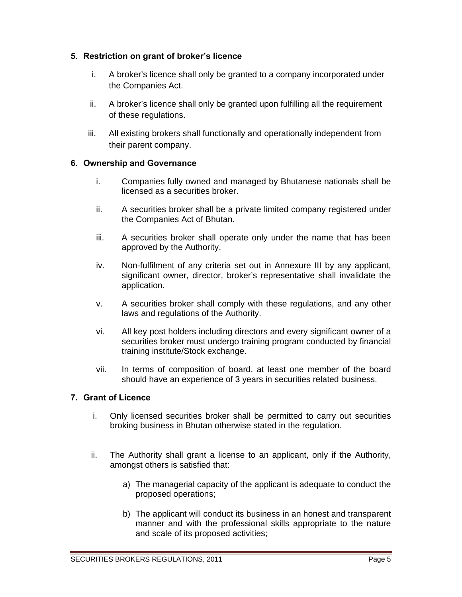# **5. Restriction on grant of broker's licence**

- i. A broker's licence shall only be granted to a company incorporated under the Companies Act.
- ii. A broker's licence shall only be granted upon fulfilling all the requirement of these regulations.
- iii. All existing brokers shall functionally and operationally independent from their parent company.

## **6. Ownership and Governance**

- i. Companies fully owned and managed by Bhutanese nationals shall be licensed as a securities broker.
- ii. A securities broker shall be a private limited company registered under the Companies Act of Bhutan.
- iii. A securities broker shall operate only under the name that has been approved by the Authority.
- iv. Non-fulfilment of any criteria set out in Annexure III by any applicant, significant owner, director, broker's representative shall invalidate the application.
- v. A securities broker shall comply with these regulations, and any other laws and regulations of the Authority.
- vi. All key post holders including directors and every significant owner of a securities broker must undergo training program conducted by financial training institute/Stock exchange.
- vii. In terms of composition of board, at least one member of the board should have an experience of 3 years in securities related business.

# **7. Grant of Licence**

- i. Only licensed securities broker shall be permitted to carry out securities broking business in Bhutan otherwise stated in the regulation.
- ii. The Authority shall grant a license to an applicant, only if the Authority, amongst others is satisfied that:
	- a) The managerial capacity of the applicant is adequate to conduct the proposed operations;
	- b) The applicant will conduct its business in an honest and transparent manner and with the professional skills appropriate to the nature and scale of its proposed activities;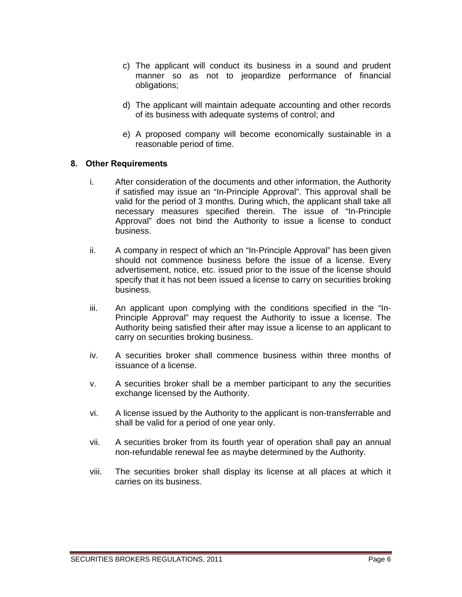- c) The applicant will conduct its business in a sound and prudent manner so as not to jeopardize performance of financial obligations;
- d) The applicant will maintain adequate accounting and other records of its business with adequate systems of control; and
- e) A proposed company will become economically sustainable in a reasonable period of time.

#### **8. Other Requirements**

- i. After consideration of the documents and other information, the Authority if satisfied may issue an "In-Principle Approval". This approval shall be valid for the period of 3 months. During which, the applicant shall take all necessary measures specified therein. The issue of "In-Principle Approval" does not bind the Authority to issue a license to conduct business.
- ii. A company in respect of which an "In-Principle Approval" has been given should not commence business before the issue of a license. Every advertisement, notice, etc. issued prior to the issue of the license should specify that it has not been issued a license to carry on securities broking business.
- iii. An applicant upon complying with the conditions specified in the "In-Principle Approval" may request the Authority to issue a license. The Authority being satisfied their after may issue a license to an applicant to carry on securities broking business.
- iv. A securities broker shall commence business within three months of issuance of a license.
- v. A securities broker shall be a member participant to any the securities exchange licensed by the Authority.
- vi. A license issued by the Authority to the applicant is non-transferrable and shall be valid for a period of one year only.
- vii. A securities broker from its fourth year of operation shall pay an annual non-refundable renewal fee as maybe determined by the Authority.
- viii. The securities broker shall display its license at all places at which it carries on its business.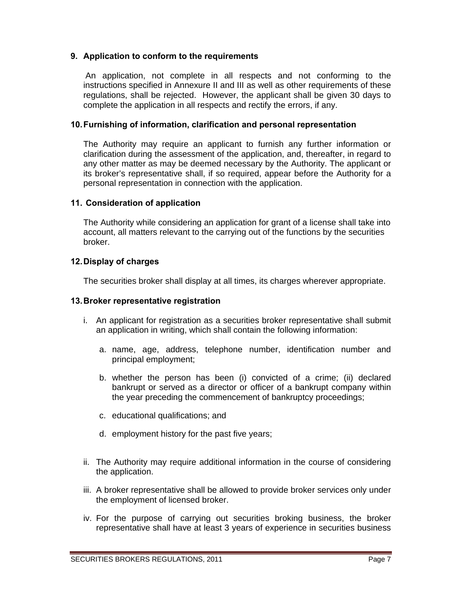## **9. Application to conform to the requirements**

An application, not complete in all respects and not conforming to the instructions specified in Annexure II and III as well as other requirements of these regulations, shall be rejected. However, the applicant shall be given 30 days to complete the application in all respects and rectify the errors, if any.

#### **10. Furnishing of information, clarification and personal representation**

The Authority may require an applicant to furnish any further information or clarification during the assessment of the application, and, thereafter, in regard to any other matter as may be deemed necessary by the Authority. The applicant or its broker's representative shall, if so required, appear before the Authority for a personal representation in connection with the application.

#### **11. Consideration of application**

The Authority while considering an application for grant of a license shall take into account, all matters relevant to the carrying out of the functions by the securities broker.

#### **12. Display of charges**

The securities broker shall display at all times, its charges wherever appropriate.

#### **13. Broker representative registration**

- i. An applicant for registration as a securities broker representative shall submit an application in writing, which shall contain the following information:
	- a. name, age, address, telephone number, identification number and principal employment;
	- b. whether the person has been (i) convicted of a crime; (ii) declared bankrupt or served as a director or officer of a bankrupt company within the year preceding the commencement of bankruptcy proceedings;
	- c. educational qualifications; and
	- d. employment history for the past five years;
- ii. The Authority may require additional information in the course of considering the application.
- iii. A broker representative shall be allowed to provide broker services only under the employment of licensed broker.
- iv. For the purpose of carrying out securities broking business, the broker representative shall have at least 3 years of experience in securities business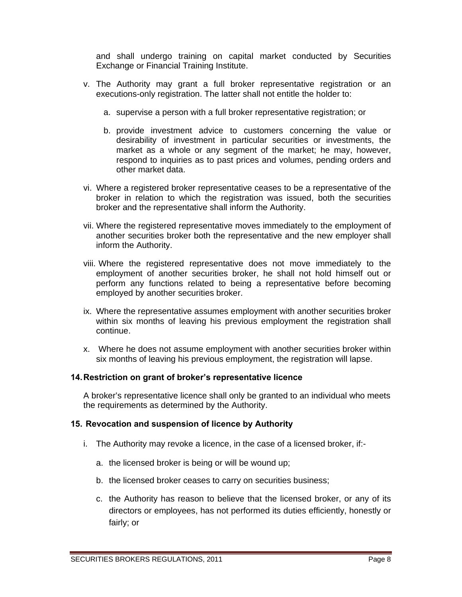and shall undergo training on capital market conducted by Securities Exchange or Financial Training Institute.

- v. The Authority may grant a full broker representative registration or an executions-only registration. The latter shall not entitle the holder to:
	- a. supervise a person with a full broker representative registration; or
	- b. provide investment advice to customers concerning the value or desirability of investment in particular securities or investments, the market as a whole or any segment of the market; he may, however, respond to inquiries as to past prices and volumes, pending orders and other market data.
- vi. Where a registered broker representative ceases to be a representative of the broker in relation to which the registration was issued, both the securities broker and the representative shall inform the Authority.
- vii. Where the registered representative moves immediately to the employment of another securities broker both the representative and the new employer shall inform the Authority.
- viii. Where the registered representative does not move immediately to the employment of another securities broker, he shall not hold himself out or perform any functions related to being a representative before becoming employed by another securities broker.
- ix. Where the representative assumes employment with another securities broker within six months of leaving his previous employment the registration shall continue.
- x. Where he does not assume employment with another securities broker within six months of leaving his previous employment, the registration will lapse.

#### **14. Restriction on grant of broker's representative licence**

A broker's representative licence shall only be granted to an individual who meets the requirements as determined by the Authority.

#### **15. Revocation and suspension of licence by Authority**

- i. The Authority may revoke a licence, in the case of a licensed broker, if:
	- a. the licensed broker is being or will be wound up;
	- b. the licensed broker ceases to carry on securities business;
	- c. the Authority has reason to believe that the licensed broker, or any of its directors or employees, has not performed its duties efficiently, honestly or fairly; or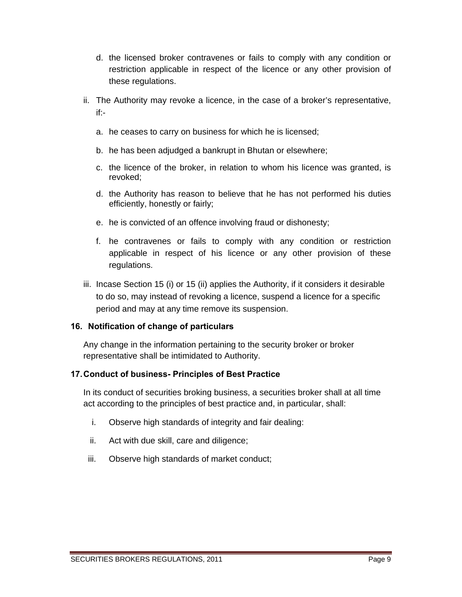- d. the licensed broker contravenes or fails to comply with any condition or restriction applicable in respect of the licence or any other provision of these regulations.
- ii. The Authority may revoke a licence, in the case of a broker's representative, if:
	- a. he ceases to carry on business for which he is licensed;
	- b. he has been adjudged a bankrupt in Bhutan or elsewhere;
	- c. the licence of the broker, in relation to whom his licence was granted, is revoked;
	- d. the Authority has reason to believe that he has not performed his duties efficiently, honestly or fairly;
	- e. he is convicted of an offence involving fraud or dishonesty;
	- f. he contravenes or fails to comply with any condition or restriction applicable in respect of his licence or any other provision of these regulations.
- iii. Incase Section 15 (i) or 15 (ii) applies the Authority, if it considers it desirable to do so, may instead of revoking a licence, suspend a licence for a specific period and may at any time remove its suspension.

# **16. Notification of change of particulars**

Any change in the information pertaining to the security broker or broker representative shall be intimidated to Authority.

#### **17. Conduct of business- Principles of Best Practice**

In its conduct of securities broking business, a securities broker shall at all time act according to the principles of best practice and, in particular, shall:

- i. Observe high standards of integrity and fair dealing:
- ii. Act with due skill, care and diligence;
- iii. Observe high standards of market conduct;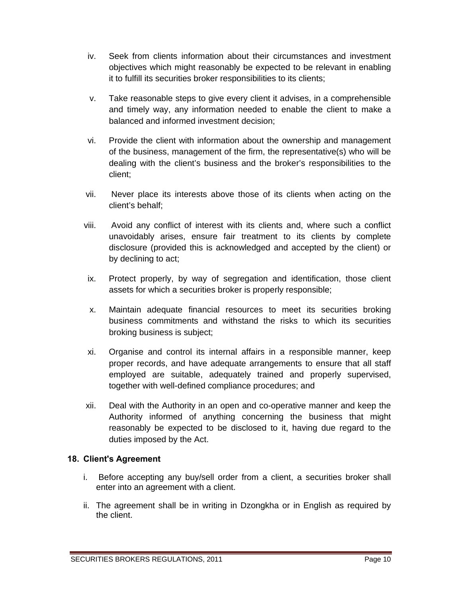- iv. Seek from clients information about their circumstances and investment objectives which might reasonably be expected to be relevant in enabling it to fulfill its securities broker responsibilities to its clients;
- v. Take reasonable steps to give every client it advises, in a comprehensible and timely way, any information needed to enable the client to make a balanced and informed investment decision;
- vi. Provide the client with information about the ownership and management of the business, management of the firm, the representative(s) who will be dealing with the client's business and the broker's responsibilities to the client;
- vii. Never place its interests above those of its clients when acting on the client's behalf;
- viii. Avoid any conflict of interest with its clients and, where such a conflict unavoidably arises, ensure fair treatment to its clients by complete disclosure (provided this is acknowledged and accepted by the client) or by declining to act;
- ix. Protect properly, by way of segregation and identification, those client assets for which a securities broker is properly responsible;
- x. Maintain adequate financial resources to meet its securities broking business commitments and withstand the risks to which its securities broking business is subject;
- xi. Organise and control its internal affairs in a responsible manner, keep proper records, and have adequate arrangements to ensure that all staff employed are suitable, adequately trained and properly supervised, together with well-defined compliance procedures; and
- xii. Deal with the Authority in an open and co-operative manner and keep the Authority informed of anything concerning the business that might reasonably be expected to be disclosed to it, having due regard to the duties imposed by the Act.

# **18. Client's Agreement**

- i. Before accepting any buy/sell order from a client, a securities broker shall enter into an agreement with a client.
- ii. The agreement shall be in writing in Dzongkha or in English as required by the client.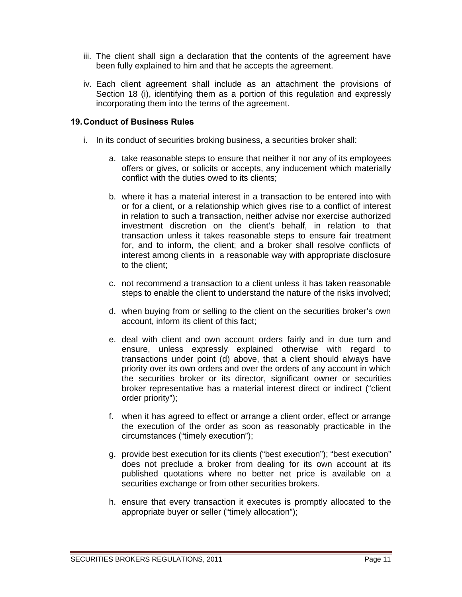- iii. The client shall sign a declaration that the contents of the agreement have been fully explained to him and that he accepts the agreement.
- iv. Each client agreement shall include as an attachment the provisions of Section 18 (i), identifying them as a portion of this regulation and expressly incorporating them into the terms of the agreement.

## **19. Conduct of Business Rules**

- i. In its conduct of securities broking business, a securities broker shall:
	- a. take reasonable steps to ensure that neither it nor any of its employees offers or gives, or solicits or accepts, any inducement which materially conflict with the duties owed to its clients;
	- b. where it has a material interest in a transaction to be entered into with or for a client, or a relationship which gives rise to a conflict of interest in relation to such a transaction, neither advise nor exercise authorized investment discretion on the client's behalf, in relation to that transaction unless it takes reasonable steps to ensure fair treatment for, and to inform, the client; and a broker shall resolve conflicts of interest among clients in a reasonable way with appropriate disclosure to the client;
	- c. not recommend a transaction to a client unless it has taken reasonable steps to enable the client to understand the nature of the risks involved;
	- d. when buying from or selling to the client on the securities broker's own account, inform its client of this fact;
	- e. deal with client and own account orders fairly and in due turn and ensure, unless expressly explained otherwise with regard to transactions under point (d) above, that a client should always have priority over its own orders and over the orders of any account in which the securities broker or its director, significant owner or securities broker representative has a material interest direct or indirect ("client order priority");
	- f. when it has agreed to effect or arrange a client order, effect or arrange the execution of the order as soon as reasonably practicable in the circumstances ("timely execution");
	- g. provide best execution for its clients ("best execution"); "best execution" does not preclude a broker from dealing for its own account at its published quotations where no better net price is available on a securities exchange or from other securities brokers.
	- h. ensure that every transaction it executes is promptly allocated to the appropriate buyer or seller ("timely allocation");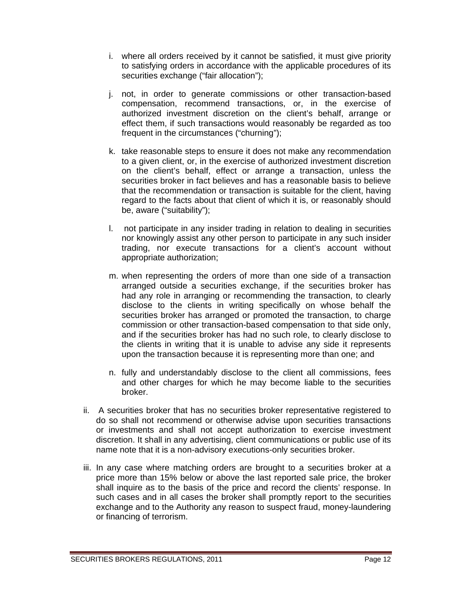- i. where all orders received by it cannot be satisfied, it must give priority to satisfying orders in accordance with the applicable procedures of its securities exchange ("fair allocation");
- j. not, in order to generate commissions or other transaction-based compensation, recommend transactions, or, in the exercise of authorized investment discretion on the client's behalf, arrange or effect them, if such transactions would reasonably be regarded as too frequent in the circumstances ("churning");
- k. take reasonable steps to ensure it does not make any recommendation to a given client, or, in the exercise of authorized investment discretion on the client's behalf, effect or arrange a transaction, unless the securities broker in fact believes and has a reasonable basis to believe that the recommendation or transaction is suitable for the client, having regard to the facts about that client of which it is, or reasonably should be, aware ("suitability");
- l. not participate in any insider trading in relation to dealing in securities nor knowingly assist any other person to participate in any such insider trading, nor execute transactions for a client's account without appropriate authorization;
- m. when representing the orders of more than one side of a transaction arranged outside a securities exchange, if the securities broker has had any role in arranging or recommending the transaction, to clearly disclose to the clients in writing specifically on whose behalf the securities broker has arranged or promoted the transaction, to charge commission or other transaction-based compensation to that side only, and if the securities broker has had no such role, to clearly disclose to the clients in writing that it is unable to advise any side it represents upon the transaction because it is representing more than one; and
- n. fully and understandably disclose to the client all commissions, fees and other charges for which he may become liable to the securities broker.
- ii. A securities broker that has no securities broker representative registered to do so shall not recommend or otherwise advise upon securities transactions or investments and shall not accept authorization to exercise investment discretion. It shall in any advertising, client communications or public use of its name note that it is a non-advisory executions-only securities broker.
- iii. In any case where matching orders are brought to a securities broker at a price more than 15% below or above the last reported sale price, the broker shall inquire as to the basis of the price and record the clients' response. In such cases and in all cases the broker shall promptly report to the securities exchange and to the Authority any reason to suspect fraud, money-laundering or financing of terrorism.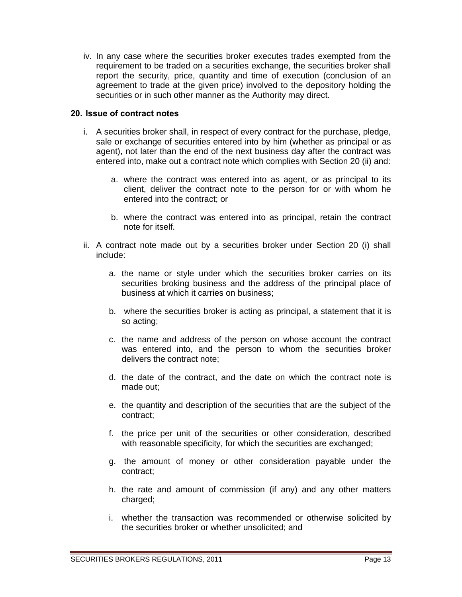iv. In any case where the securities broker executes trades exempted from the requirement to be traded on a securities exchange, the securities broker shall report the security, price, quantity and time of execution (conclusion of an agreement to trade at the given price) involved to the depository holding the securities or in such other manner as the Authority may direct.

#### **20. Issue of contract notes**

- i. A securities broker shall, in respect of every contract for the purchase, pledge, sale or exchange of securities entered into by him (whether as principal or as agent), not later than the end of the next business day after the contract was entered into, make out a contract note which complies with Section 20 (ii) and:
	- a. where the contract was entered into as agent, or as principal to its client, deliver the contract note to the person for or with whom he entered into the contract; or
	- b. where the contract was entered into as principal, retain the contract note for itself.
- ii. A contract note made out by a securities broker under Section 20 (i) shall include:
	- a. the name or style under which the securities broker carries on its securities broking business and the address of the principal place of business at which it carries on business;
	- b. where the securities broker is acting as principal, a statement that it is so acting;
	- c. the name and address of the person on whose account the contract was entered into, and the person to whom the securities broker delivers the contract note;
	- d. the date of the contract, and the date on which the contract note is made out;
	- e. the quantity and description of the securities that are the subject of the contract;
	- f. the price per unit of the securities or other consideration, described with reasonable specificity, for which the securities are exchanged;
	- g. the amount of money or other consideration payable under the contract;
	- h. the rate and amount of commission (if any) and any other matters charged;
	- i. whether the transaction was recommended or otherwise solicited by the securities broker or whether unsolicited; and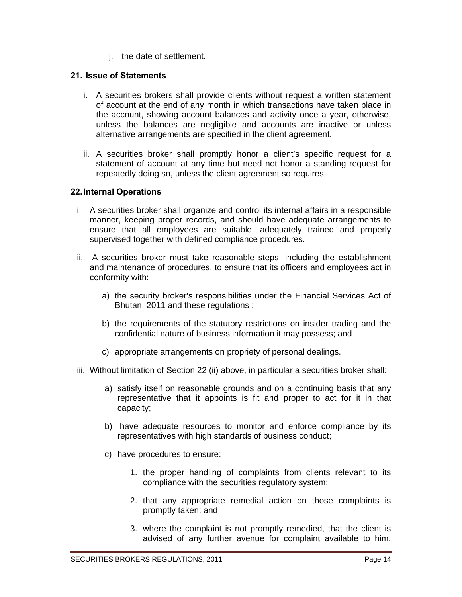j. the date of settlement.

## **21. Issue of Statements**

- i. A securities brokers shall provide clients without request a written statement of account at the end of any month in which transactions have taken place in the account, showing account balances and activity once a year, otherwise, unless the balances are negligible and accounts are inactive or unless alternative arrangements are specified in the client agreement.
- ii. A securities broker shall promptly honor a client's specific request for a statement of account at any time but need not honor a standing request for repeatedly doing so, unless the client agreement so requires.

## **22. Internal Operations**

- i. A securities broker shall organize and control its internal affairs in a responsible manner, keeping proper records, and should have adequate arrangements to ensure that all employees are suitable, adequately trained and properly supervised together with defined compliance procedures.
- ii. A securities broker must take reasonable steps, including the establishment and maintenance of procedures, to ensure that its officers and employees act in conformity with:
	- a) the security broker's responsibilities under the Financial Services Act of Bhutan, 2011 and these regulations ;
	- b) the requirements of the statutory restrictions on insider trading and the confidential nature of business information it may possess; and
	- c) appropriate arrangements on propriety of personal dealings.
- iii. Without limitation of Section 22 (ii) above, in particular a securities broker shall:
	- a) satisfy itself on reasonable grounds and on a continuing basis that any representative that it appoints is fit and proper to act for it in that capacity;
	- b) have adequate resources to monitor and enforce compliance by its representatives with high standards of business conduct;
	- c) have procedures to ensure:
		- 1. the proper handling of complaints from clients relevant to its compliance with the securities regulatory system;
		- 2. that any appropriate remedial action on those complaints is promptly taken; and
		- 3. where the complaint is not promptly remedied, that the client is advised of any further avenue for complaint available to him,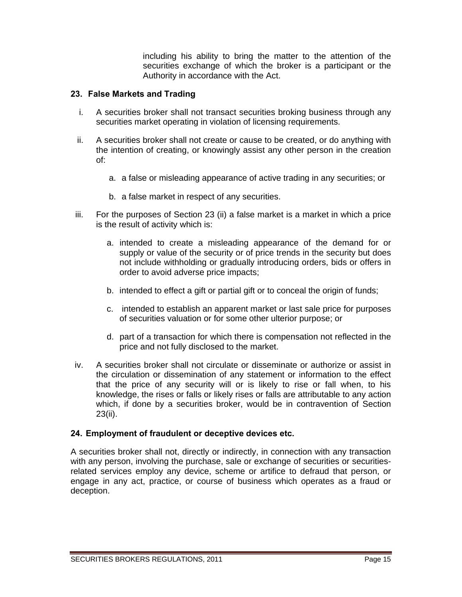including his ability to bring the matter to the attention of the securities exchange of which the broker is a participant or the Authority in accordance with the Act.

#### **23. False Markets and Trading**

- i. A securities broker shall not transact securities broking business through any securities market operating in violation of licensing requirements.
- ii. A securities broker shall not create or cause to be created, or do anything with the intention of creating, or knowingly assist any other person in the creation of:
	- a. a false or misleading appearance of active trading in any securities; or
	- b. a false market in respect of any securities.
- iii. For the purposes of Section 23 (ii) a false market is a market in which a price is the result of activity which is:
	- a. intended to create a misleading appearance of the demand for or supply or value of the security or of price trends in the security but does not include withholding or gradually introducing orders, bids or offers in order to avoid adverse price impacts;
	- b. intended to effect a gift or partial gift or to conceal the origin of funds;
	- c. intended to establish an apparent market or last sale price for purposes of securities valuation or for some other ulterior purpose; or
	- d. part of a transaction for which there is compensation not reflected in the price and not fully disclosed to the market.
- iv. A securities broker shall not circulate or disseminate or authorize or assist in the circulation or dissemination of any statement or information to the effect that the price of any security will or is likely to rise or fall when, to his knowledge, the rises or falls or likely rises or falls are attributable to any action which, if done by a securities broker, would be in contravention of Section 23(ii).

# **24. Employment of fraudulent or deceptive devices etc.**

A securities broker shall not, directly or indirectly, in connection with any transaction with any person, involving the purchase, sale or exchange of securities or securitiesrelated services employ any device, scheme or artifice to defraud that person, or engage in any act, practice, or course of business which operates as a fraud or deception.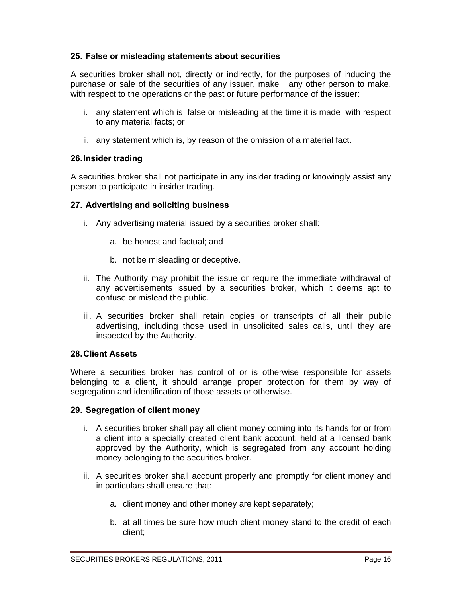# **25. False or misleading statements about securities**

A securities broker shall not, directly or indirectly, for the purposes of inducing the purchase or sale of the securities of any issuer, make any other person to make, with respect to the operations or the past or future performance of the issuer:

- i. any statement which is false or misleading at the time it is made with respect to any material facts; or
- ii. any statement which is, by reason of the omission of a material fact.

## **26. Insider trading**

A securities broker shall not participate in any insider trading or knowingly assist any person to participate in insider trading.

## **27. Advertising and soliciting business**

- i. Any advertising material issued by a securities broker shall:
	- a. be honest and factual; and
	- b. not be misleading or deceptive.
- ii. The Authority may prohibit the issue or require the immediate withdrawal of any advertisements issued by a securities broker, which it deems apt to confuse or mislead the public.
- iii. A securities broker shall retain copies or transcripts of all their public advertising, including those used in unsolicited sales calls, until they are inspected by the Authority.

# **28. Client Assets**

Where a securities broker has control of or is otherwise responsible for assets belonging to a client, it should arrange proper protection for them by way of segregation and identification of those assets or otherwise.

#### **29. Segregation of client money**

- i. A securities broker shall pay all client money coming into its hands for or from a client into a specially created client bank account, held at a licensed bank approved by the Authority, which is segregated from any account holding money belonging to the securities broker.
- ii. A securities broker shall account properly and promptly for client money and in particulars shall ensure that:
	- a. client money and other money are kept separately;
	- b. at all times be sure how much client money stand to the credit of each client;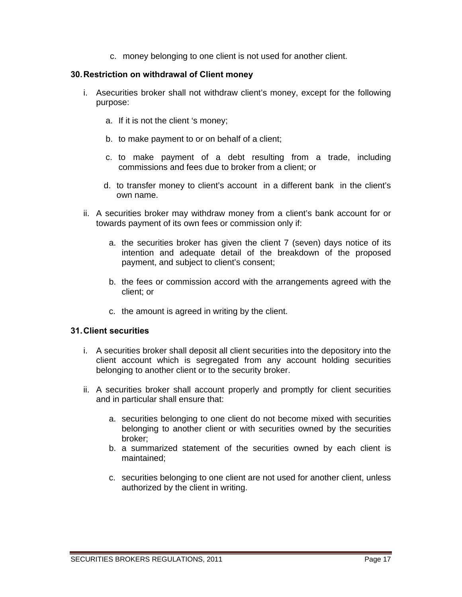c. money belonging to one client is not used for another client.

#### **30. Restriction on withdrawal of Client money**

- i. Asecurities broker shall not withdraw client's money, except for the following purpose:
	- a. If it is not the client 's money;
	- b. to make payment to or on behalf of a client;
	- c. to make payment of a debt resulting from a trade, including commissions and fees due to broker from a client; or
	- d. to transfer money to client's account in a different bank in the client's own name.
- ii. A securities broker may withdraw money from a client's bank account for or towards payment of its own fees or commission only if:
	- a. the securities broker has given the client 7 (seven) days notice of its intention and adequate detail of the breakdown of the proposed payment, and subject to client's consent;
	- b. the fees or commission accord with the arrangements agreed with the client; or
	- c. the amount is agreed in writing by the client.

#### **31. Client securities**

- i. A securities broker shall deposit all client securities into the depository into the client account which is segregated from any account holding securities belonging to another client or to the security broker.
- ii. A securities broker shall account properly and promptly for client securities and in particular shall ensure that:
	- a. securities belonging to one client do not become mixed with securities belonging to another client or with securities owned by the securities broker;
	- b. a summarized statement of the securities owned by each client is maintained;
	- c. securities belonging to one client are not used for another client, unless authorized by the client in writing.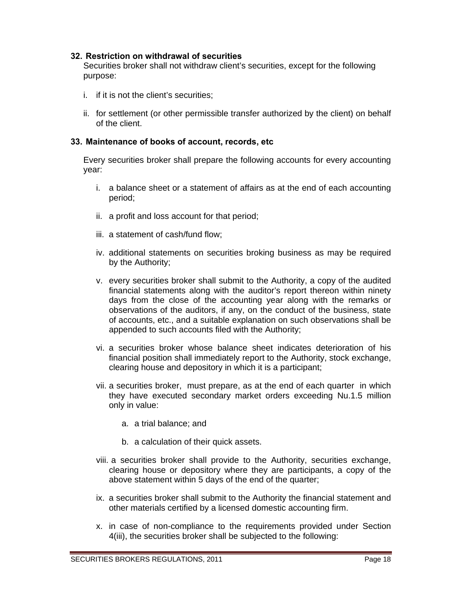#### **32. Restriction on withdrawal of securities**

Securities broker shall not withdraw client's securities, except for the following purpose:

- i. if it is not the client's securities;
- ii. for settlement (or other permissible transfer authorized by the client) on behalf of the client.

#### **33. Maintenance of books of account, records, etc**

Every securities broker shall prepare the following accounts for every accounting year:

- i. a balance sheet or a statement of affairs as at the end of each accounting period;
- ii. a profit and loss account for that period;
- iii. a statement of cash/fund flow;
- iv. additional statements on securities broking business as may be required by the Authority;
- v. every securities broker shall submit to the Authority, a copy of the audited financial statements along with the auditor's report thereon within ninety days from the close of the accounting year along with the remarks or observations of the auditors, if any, on the conduct of the business, state of accounts, etc., and a suitable explanation on such observations shall be appended to such accounts filed with the Authority;
- vi. a securities broker whose balance sheet indicates deterioration of his financial position shall immediately report to the Authority, stock exchange, clearing house and depository in which it is a participant;
- vii. a securities broker, must prepare, as at the end of each quarter in which they have executed secondary market orders exceeding Nu.1.5 million only in value:
	- a. a trial balance; and
	- b. a calculation of their quick assets.
- viii. a securities broker shall provide to the Authority, securities exchange, clearing house or depository where they are participants, a copy of the above statement within 5 days of the end of the quarter;
- ix. a securities broker shall submit to the Authority the financial statement and other materials certified by a licensed domestic accounting firm.
- x. in case of non-compliance to the requirements provided under Section 4(iii), the securities broker shall be subjected to the following: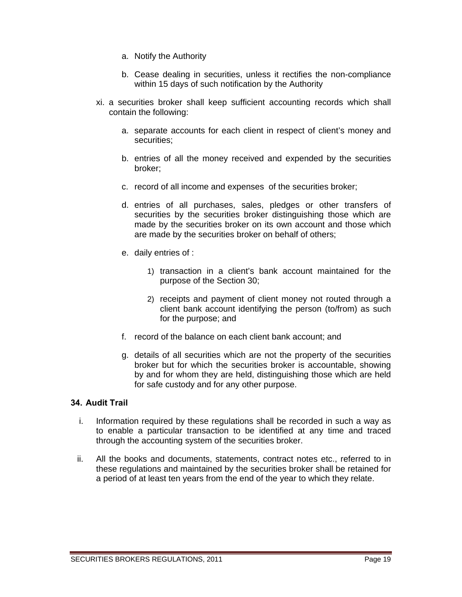- a. Notify the Authority
- b. Cease dealing in securities, unless it rectifies the non-compliance within 15 days of such notification by the Authority
- xi. a securities broker shall keep sufficient accounting records which shall contain the following:
	- a. separate accounts for each client in respect of client's money and securities;
	- b. entries of all the money received and expended by the securities broker;
	- c. record of all income and expenses of the securities broker;
	- d. entries of all purchases, sales, pledges or other transfers of securities by the securities broker distinguishing those which are made by the securities broker on its own account and those which are made by the securities broker on behalf of others;
	- e. daily entries of :
		- 1) transaction in a client's bank account maintained for the purpose of the Section 30;
		- 2) receipts and payment of client money not routed through a client bank account identifying the person (to/from) as such for the purpose; and
	- f. record of the balance on each client bank account; and
	- g. details of all securities which are not the property of the securities broker but for which the securities broker is accountable, showing by and for whom they are held, distinguishing those which are held for safe custody and for any other purpose.

#### **34. Audit Trail**

- i. Information required by these regulations shall be recorded in such a way as to enable a particular transaction to be identified at any time and traced through the accounting system of the securities broker.
- ii. All the books and documents, statements, contract notes etc., referred to in these regulations and maintained by the securities broker shall be retained for a period of at least ten years from the end of the year to which they relate.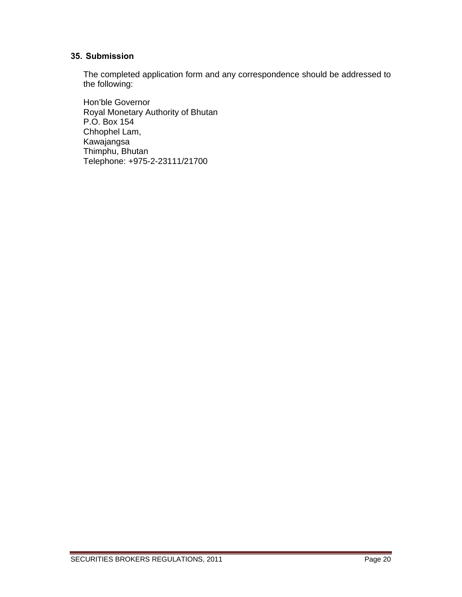# **35. Submission**

The completed application form and any correspondence should be addressed to the following:

 Hon'ble Governor Royal Monetary Authority of Bhutan P.O. Box 154 Chhophel Lam, Kawajangsa Thimphu, Bhutan Telephone: +975-2-23111/21700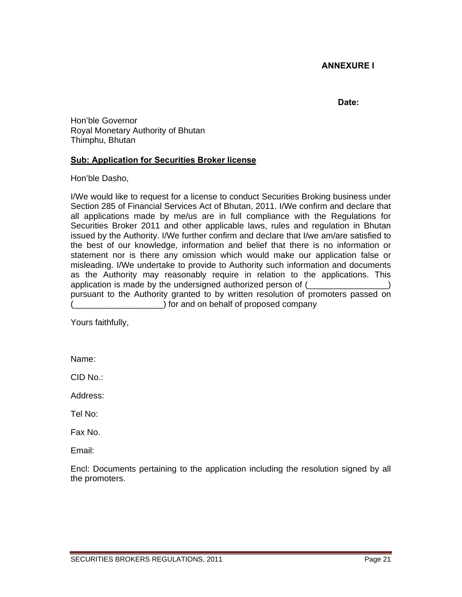# **ANNEXURE I**

#### **Date:**

Hon'ble Governor Royal Monetary Authority of Bhutan Thimphu, Bhutan

## **Sub: Application for Securities Broker license**

Hon'ble Dasho,

I/We would like to request for a license to conduct Securities Broking business under Section 285 of Financial Services Act of Bhutan, 2011. I/We confirm and declare that all applications made by me/us are in full compliance with the Regulations for Securities Broker 2011 and other applicable laws, rules and regulation in Bhutan issued by the Authority. I/We further confirm and declare that I/we am/are satisfied to the best of our knowledge, information and belief that there is no information or statement nor is there any omission which would make our application false or misleading. I/We undertake to provide to Authority such information and documents as the Authority may reasonably require in relation to the applications. This application is made by the undersigned authorized person of  $($ pursuant to the Authority granted to by written resolution of promoters passed on ) for and on behalf of proposed company

Yours faithfully,

Name:

CID No.:

Address:

Tel No:

Fax No.

Email:

Encl: Documents pertaining to the application including the resolution signed by all the promoters.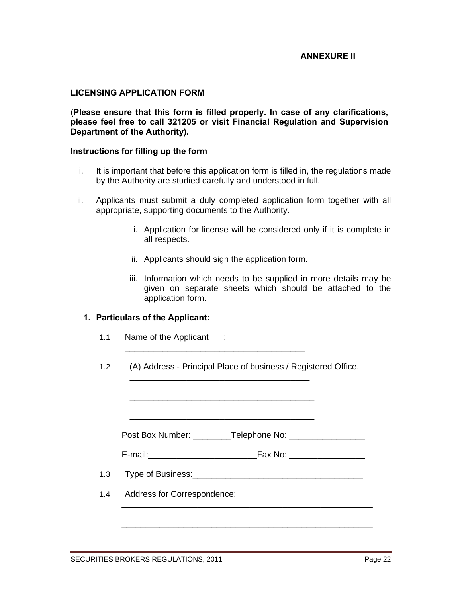#### **ANNEXURE II**

#### **LICENSING APPLICATION FORM**

(**Please ensure that this form is filled properly. In case of any clarifications, please feel free to call 321205 or visit Financial Regulation and Supervision Department of the Authority).** 

#### **Instructions for filling up the form**

- i. It is important that before this application form is filled in, the regulations made by the Authority are studied carefully and understood in full.
- ii. Applicants must submit a duly completed application form together with all appropriate, supporting documents to the Authority.
	- i. Application for license will be considered only if it is complete in all respects.
	- ii. Applicants should sign the application form.
	- iii. Information which needs to be supplied in more details may be given on separate sheets which should be attached to the application form.

#### **1. Particulars of the Applicant:**

- 1.1 Name of the Applicant :
- 1.2 (A) Address Principal Place of business / Registered Office.

\_\_\_\_\_\_\_\_\_\_\_\_\_\_\_\_\_\_\_\_\_\_\_\_\_\_\_\_\_\_\_\_\_\_\_\_\_\_

 $\frac{1}{2}$  ,  $\frac{1}{2}$  ,  $\frac{1}{2}$  ,  $\frac{1}{2}$  ,  $\frac{1}{2}$  ,  $\frac{1}{2}$  ,  $\frac{1}{2}$  ,  $\frac{1}{2}$  ,  $\frac{1}{2}$  ,  $\frac{1}{2}$  ,  $\frac{1}{2}$  ,  $\frac{1}{2}$  ,  $\frac{1}{2}$  ,  $\frac{1}{2}$  ,  $\frac{1}{2}$  ,  $\frac{1}{2}$  ,  $\frac{1}{2}$  ,  $\frac{1}{2}$  ,  $\frac{1$ 

 $\overline{\phantom{a}}$  ,  $\overline{\phantom{a}}$  ,  $\overline{\phantom{a}}$  ,  $\overline{\phantom{a}}$  ,  $\overline{\phantom{a}}$  ,  $\overline{\phantom{a}}$  ,  $\overline{\phantom{a}}$  ,  $\overline{\phantom{a}}$  ,  $\overline{\phantom{a}}$  ,  $\overline{\phantom{a}}$  ,  $\overline{\phantom{a}}$  ,  $\overline{\phantom{a}}$  ,  $\overline{\phantom{a}}$  ,  $\overline{\phantom{a}}$  ,  $\overline{\phantom{a}}$  ,  $\overline{\phantom{a}}$ 

 $\overline{\phantom{a}}$  ,  $\overline{\phantom{a}}$  ,  $\overline{\phantom{a}}$  ,  $\overline{\phantom{a}}$  ,  $\overline{\phantom{a}}$  ,  $\overline{\phantom{a}}$  ,  $\overline{\phantom{a}}$  ,  $\overline{\phantom{a}}$  ,  $\overline{\phantom{a}}$  ,  $\overline{\phantom{a}}$  ,  $\overline{\phantom{a}}$  ,  $\overline{\phantom{a}}$  ,  $\overline{\phantom{a}}$  ,  $\overline{\phantom{a}}$  ,  $\overline{\phantom{a}}$  ,  $\overline{\phantom{a}}$ 

Post Box Number: \_\_\_\_\_\_\_\_Telephone No: \_\_\_\_\_\_\_\_\_\_\_\_\_\_\_\_

E-mail:\_\_\_\_\_\_\_\_\_\_\_\_\_\_\_\_\_\_\_\_\_\_\_Fax No: \_\_\_\_\_\_\_\_\_\_\_\_\_\_\_\_

\_\_\_\_\_\_\_\_\_\_\_\_\_\_\_\_\_\_\_\_\_\_\_\_\_\_\_\_\_\_\_\_\_\_\_\_\_\_\_\_\_\_\_\_\_\_\_\_\_\_\_\_\_

\_\_\_\_\_\_\_\_\_\_\_\_\_\_\_\_\_\_\_\_\_\_\_\_\_\_\_\_\_\_\_\_\_\_\_\_\_\_\_\_\_\_\_\_\_\_\_\_\_\_\_\_\_

- 1.3 Type of Business:  $\blacksquare$
- 1.4 Address for Correspondence: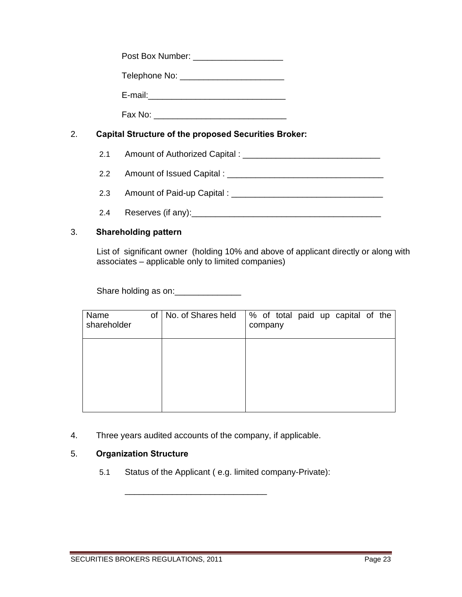| Post Box Number: |  |
|------------------|--|
|------------------|--|

Telephone No: \_\_\_\_\_\_\_\_\_\_\_\_\_\_\_\_\_\_\_\_\_\_

E-mail:\_\_\_\_\_\_\_\_\_\_\_\_\_\_\_\_\_\_\_\_\_\_\_\_\_\_\_\_\_

Fax No: \_\_\_\_\_\_\_\_\_\_\_\_\_\_\_\_\_\_\_\_\_\_\_\_\_\_\_\_

# 2. **Capital Structure of the proposed Securities Broker:**

- 2.1 Amount of Authorized Capital : \_\_\_\_\_\_\_\_\_\_\_\_\_\_\_\_\_\_\_\_\_\_\_\_\_\_\_\_\_
- 2.2 Amount of Issued Capital : \_\_\_\_\_\_\_\_\_\_\_\_\_\_\_\_\_\_\_\_\_\_\_\_\_\_\_\_\_\_\_\_\_
- 2.3 Amount of Paid-up Capital : \_\_\_\_\_\_\_\_\_\_\_\_\_\_\_\_\_\_\_\_\_\_\_\_\_\_\_\_\_\_\_\_
- 2.4 Reserves (if any):

# 3. **Shareholding pattern**

 List of significant owner (holding 10% and above of applicant directly or along with associates – applicable only to limited companies)

Share holding as on: \_\_\_\_\_\_\_\_\_\_\_\_\_\_\_

| Name<br>shareholder | of   No. of Shares held | % of total paid up capital of the<br>company |
|---------------------|-------------------------|----------------------------------------------|
|                     |                         |                                              |
|                     |                         |                                              |
|                     |                         |                                              |

4. Three years audited accounts of the company, if applicable.

\_\_\_\_\_\_\_\_\_\_\_\_\_\_\_\_\_\_\_\_\_\_\_\_\_\_\_\_\_\_

# 5. **Organization Structure**

5.1 Status of the Applicant ( e.g. limited company-Private):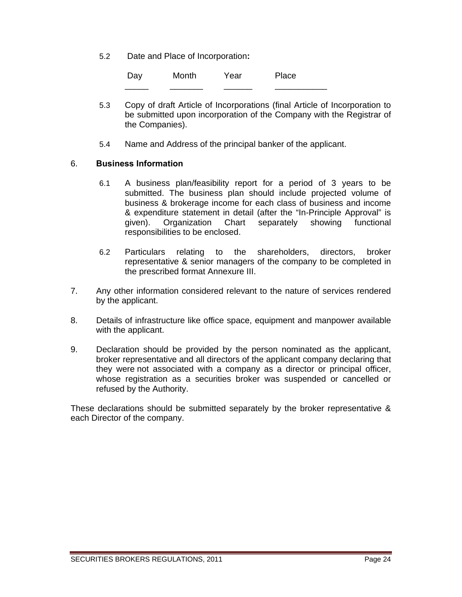5.2 Date and Place of Incorporation**:**

| Day | Month | Year | Place |
|-----|-------|------|-------|
|     |       |      |       |

- 5.3 Copy of draft Article of Incorporations (final Article of Incorporation to be submitted upon incorporation of the Company with the Registrar of the Companies).
- 5.4 Name and Address of the principal banker of the applicant.

#### 6. **Business Information**

- 6.1 A business plan/feasibility report for a period of 3 years to be submitted. The business plan should include projected volume of business & brokerage income for each class of business and income & expenditure statement in detail (after the "In-Principle Approval" is given). Organization Chart separately showing functional responsibilities to be enclosed.
- 6.2 Particulars relating to the shareholders, directors, broker representative & senior managers of the company to be completed in the prescribed format Annexure III.
- 7. Any other information considered relevant to the nature of services rendered by the applicant.
- 8. Details of infrastructure like office space, equipment and manpower available with the applicant.
- 9. Declaration should be provided by the person nominated as the applicant, broker representative and all directors of the applicant company declaring that they were not associated with a company as a director or principal officer, whose registration as a securities broker was suspended or cancelled or refused by the Authority.

These declarations should be submitted separately by the broker representative & each Director of the company.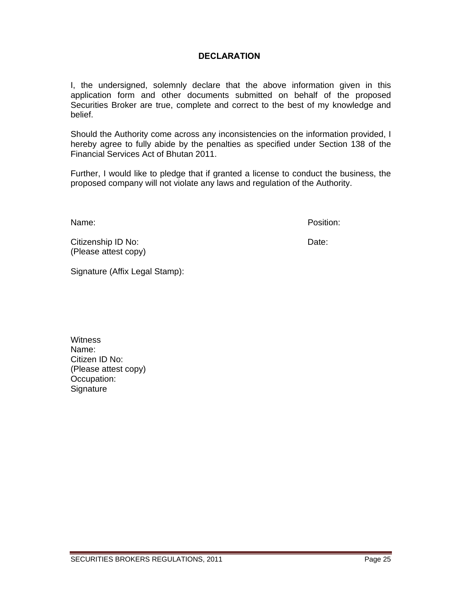# **DECLARATION**

I, the undersigned, solemnly declare that the above information given in this application form and other documents submitted on behalf of the proposed Securities Broker are true, complete and correct to the best of my knowledge and belief.

Should the Authority come across any inconsistencies on the information provided, I hereby agree to fully abide by the penalties as specified under Section 138 of the Financial Services Act of Bhutan 2011.

Further, I would like to pledge that if granted a license to conduct the business, the proposed company will not violate any laws and regulation of the Authority.

Name: Position:

Citizenship ID No: **Date:** Date: (Please attest copy)

Signature (Affix Legal Stamp):

**Witness** Name: Citizen ID No: (Please attest copy) Occupation: **Signature**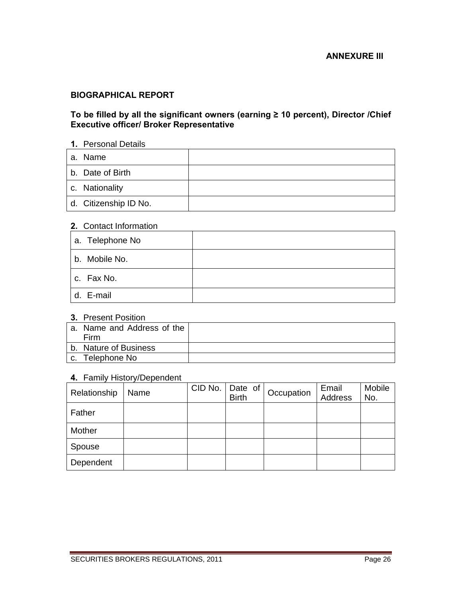#### **BIOGRAPHICAL REPORT**

#### **To be filled by all the significant owners (earning ≥ 10 percent), Director /Chief Executive officer/ Broker Representative**

## **1.** Personal Details

| a. Name               |  |
|-----------------------|--|
| b. Date of Birth      |  |
| c. Nationality        |  |
| d. Citizenship ID No. |  |

#### **2.** Contact Information

| l a. Telephone No |  |
|-------------------|--|
| b. Mobile No.     |  |
| c. Fax No.        |  |
| d. E-mail         |  |

#### **3.** Present Position

|                | a. Name and Address of the |  |
|----------------|----------------------------|--|
|                | Firm                       |  |
|                | b. Nature of Business      |  |
| C <sub>1</sub> | Telephone No               |  |

#### **4.** Family History/Dependent

| Relationship | Name | CID No. | Date of<br><b>Birth</b> | Occupation | Email<br>Address | Mobile<br>No. |
|--------------|------|---------|-------------------------|------------|------------------|---------------|
| Father       |      |         |                         |            |                  |               |
| Mother       |      |         |                         |            |                  |               |
| Spouse       |      |         |                         |            |                  |               |
| Dependent    |      |         |                         |            |                  |               |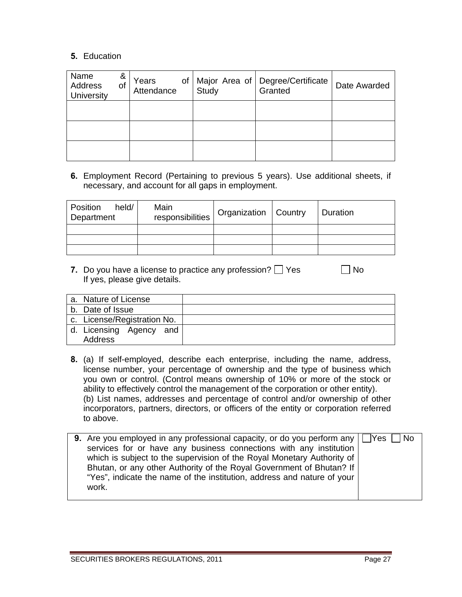#### **5.** Education

| Name<br>Address<br>University | &<br>οt | Years<br>Attendance | Study | of   Major Area of   Degree/Certificate<br>Granted | Date Awarded |
|-------------------------------|---------|---------------------|-------|----------------------------------------------------|--------------|
|                               |         |                     |       |                                                    |              |
|                               |         |                     |       |                                                    |              |
|                               |         |                     |       |                                                    |              |

**6.** Employment Record (Pertaining to previous 5 years). Use additional sheets, if necessary, and account for all gaps in employment.

| held/<br>Position<br>Department | Main<br>responsibilities | Organization   Country | Duration |
|---------------------------------|--------------------------|------------------------|----------|
|                                 |                          |                        |          |
|                                 |                          |                        |          |
|                                 |                          |                        |          |

**7.** Do you have a license to practice any profession?  $\Box$  Yes  $\Box$  No If yes, please give details.

| a. Nature of License        |  |
|-----------------------------|--|
| b. Date of Issue            |  |
| c. License/Registration No. |  |
| d. Licensing Agency and     |  |
| Address                     |  |
|                             |  |

**8.** (a) If self-employed, describe each enterprise, including the name, address, license number, your percentage of ownership and the type of business which you own or control. (Control means ownership of 10% or more of the stock or ability to effectively control the management of the corporation or other entity). (b) List names, addresses and percentage of control and/or ownership of other incorporators, partners, directors, or officers of the entity or corporation referred to above.

| <b>9.</b> Are you employed in any professional capacity, or do you perform any $\Box$ Yes $\Box$ No |  |
|-----------------------------------------------------------------------------------------------------|--|
| services for or have any business connections with any institution                                  |  |
| which is subject to the supervision of the Royal Monetary Authority of                              |  |
| Bhutan, or any other Authority of the Royal Government of Bhutan? If                                |  |
| "Yes", indicate the name of the institution, address and nature of your                             |  |
| work.                                                                                               |  |
|                                                                                                     |  |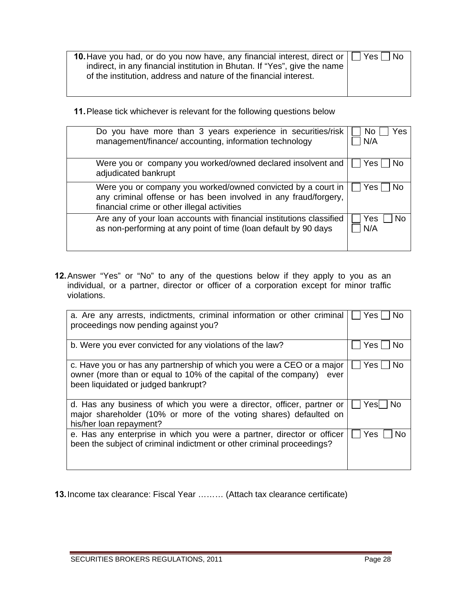| <b>10.</b> Have you had, or do you now have, any financial interest, direct or $\Box$ Yes $\Box$ No<br>indirect, in any financial institution in Bhutan. If "Yes", give the name<br>of the institution, address and nature of the financial interest. |  |
|-------------------------------------------------------------------------------------------------------------------------------------------------------------------------------------------------------------------------------------------------------|--|
|                                                                                                                                                                                                                                                       |  |

**11.** Please tick whichever is relevant for the following questions below

| Do you have more than 3 years experience in securities/risk<br>management/finance/ accounting, information technology                                                          | Yes<br>No<br>N/A |
|--------------------------------------------------------------------------------------------------------------------------------------------------------------------------------|------------------|
| Were you or company you worked/owned declared insolvent and<br>adjudicated bankrupt                                                                                            | Yes<br>No.       |
| Were you or company you worked/owned convicted by a court in<br>any criminal offense or has been involved in any fraud/forgery,<br>financial crime or other illegal activities | Yes l<br>No.     |
| Are any of your loan accounts with financial institutions classified<br>as non-performing at any point of time (loan default by 90 days                                        | Yes<br>No<br>N/A |

**12.** Answer "Yes" or "No" to any of the questions below if they apply to you as an individual, or a partner, director or officer of a corporation except for minor traffic violations.

| a. Are any arrests, indictments, criminal information or other criminal<br>proceedings now pending against you?                                                                      | Nο<br>Yes l  |
|--------------------------------------------------------------------------------------------------------------------------------------------------------------------------------------|--------------|
| b. Were you ever convicted for any violations of the law?                                                                                                                            | Yes.<br>Nο   |
| c. Have you or has any partnership of which you were a CEO or a major<br>owner (more than or equal to 10% of the capital of the company) ever<br>been liquidated or judged bankrupt? | Yes l<br>No. |
| d. Has any business of which you were a director, officer, partner or<br>major shareholder (10% or more of the voting shares) defaulted on<br>his/her loan repayment?                | Yesl<br>No.  |
| e. Has any enterprise in which you were a partner, director or officer<br>been the subject of criminal indictment or other criminal proceedings?                                     | Yes<br>N٥    |

**13.** Income tax clearance: Fiscal Year ……… (Attach tax clearance certificate)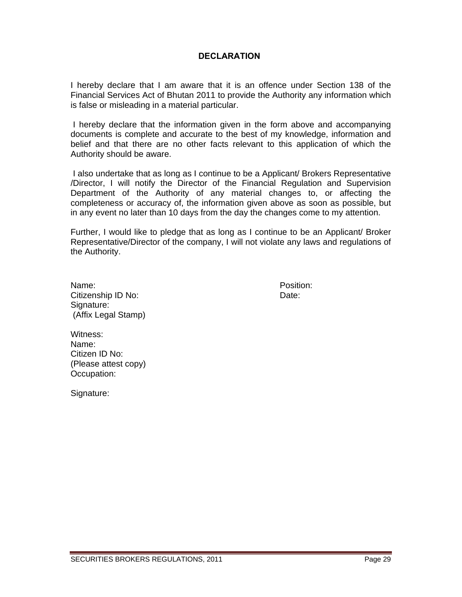#### **DECLARATION**

I hereby declare that I am aware that it is an offence under Section 138 of the Financial Services Act of Bhutan 2011 to provide the Authority any information which is false or misleading in a material particular.

 I hereby declare that the information given in the form above and accompanying documents is complete and accurate to the best of my knowledge, information and belief and that there are no other facts relevant to this application of which the Authority should be aware.

 I also undertake that as long as I continue to be a Applicant/ Brokers Representative /Director, I will notify the Director of the Financial Regulation and Supervision Department of the Authority of any material changes to, or affecting the completeness or accuracy of, the information given above as soon as possible, but in any event no later than 10 days from the day the changes come to my attention.

Further, I would like to pledge that as long as I continue to be an Applicant/ Broker Representative/Director of the company, I will not violate any laws and regulations of the Authority.

| Name:               |
|---------------------|
| Citizenship ID No:  |
| Signature:          |
| (Affix Legal Stamp) |

 Position: Date:

Witness: Name: Citizen ID No: (Please attest copy) Occupation:

Signature: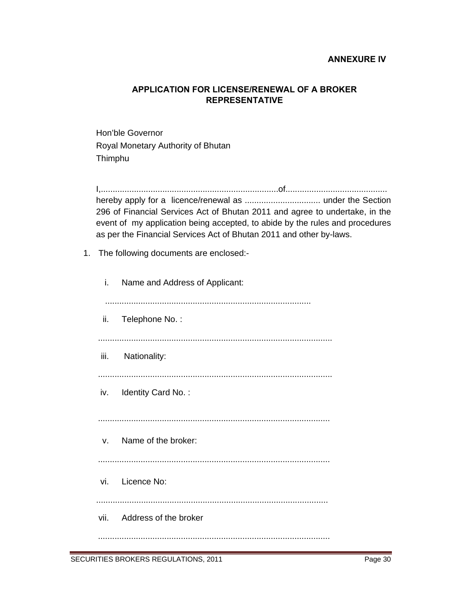#### **ANNEXURE IV**

# **APPLICATION FOR LICENSE/RENEWAL OF A BROKER REPRESENTATIVE**

Hon'ble Governor Royal Monetary Authority of Bhutan Thimphu

I,...........................................................................of........................................... hereby apply for a licence/renewal as ................................ under the Section 296 of Financial Services Act of Bhutan 2011 and agree to undertake, in the event of my application being accepted, to abide by the rules and procedures as per the Financial Services Act of Bhutan 2011 and other by-laws.

1. The following documents are enclosed:-

| i. | Name and Address of Applicant: |
|----|--------------------------------|
|    | ii. Telephone No.:             |
|    | iii. Nationality:              |
|    | iv. Identity Card No.:         |
|    | v. Name of the broker:         |
|    | vi. Licence No:                |
|    | vii. Address of the broker     |
|    |                                |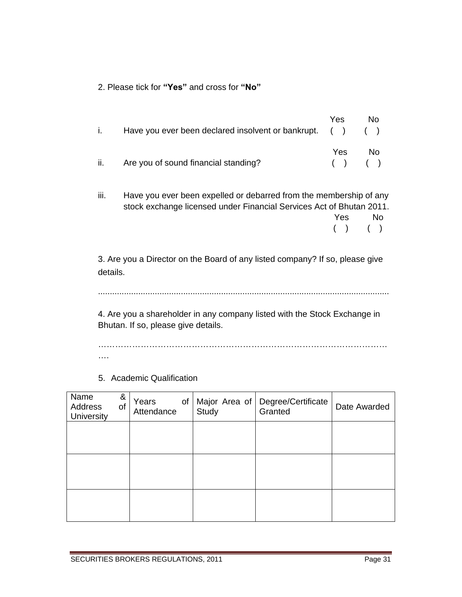2. Please tick for **"Yes"** and cross for **"No"** 

|     | Have you ever been declared insolvent or bankrupt. $( )$ $( )$ | Yes                | No. |
|-----|----------------------------------------------------------------|--------------------|-----|
| ii. | Are you of sound financial standing?                           | Yes<br>$( )$ $( )$ | No. |

iii. Have you ever been expelled or debarred from the membership of any stock exchange licensed under Financial Services Act of Bhutan 2011. **Prescription of the State of the State State State State State State State State State State State State State State State State State State State State State State State State State State State State State State State St** 

( ) ( )

3. Are you a Director on the Board of any listed company? If so, please give details.

...........................................................................................................................

4. Are you a shareholder in any company listed with the Stock Exchange in Bhutan. If so, please give details.

………………………………………………………………………………………… ….

5. Academic Qualification

| Name<br>Address<br>University | &<br>of | Years<br>Attendance | $of \sqrt{}$ | Study | Major Area of   Degree/Certificate<br>Granted | Date Awarded |
|-------------------------------|---------|---------------------|--------------|-------|-----------------------------------------------|--------------|
|                               |         |                     |              |       |                                               |              |
|                               |         |                     |              |       |                                               |              |
|                               |         |                     |              |       |                                               |              |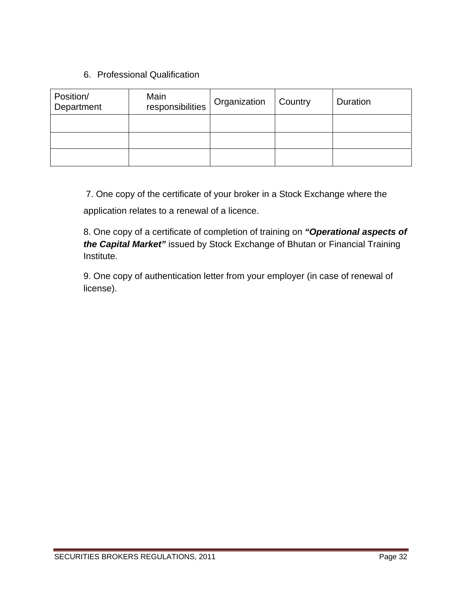# 6. Professional Qualification

| Position/<br>Department | Main<br>responsibilities | Organization | Country | Duration |
|-------------------------|--------------------------|--------------|---------|----------|
|                         |                          |              |         |          |
|                         |                          |              |         |          |
|                         |                          |              |         |          |

7. One copy of the certificate of your broker in a Stock Exchange where the

application relates to a renewal of a licence.

8. One copy of a certificate of completion of training on *"Operational aspects of the Capital Market"* issued by Stock Exchange of Bhutan or Financial Training Institute.

9. One copy of authentication letter from your employer (in case of renewal of license).